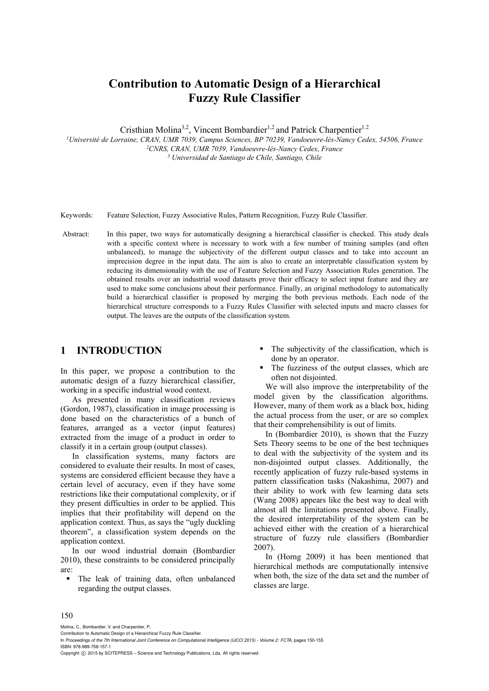# **Contribution to Automatic Design of a Hierarchical Fuzzy Rule Classifier**

Cristhian Molina<sup>3,2</sup>, Vincent Bombardier<sup>1,2</sup> and Patrick Charpentier<sup>1.2</sup>

*1Université de Lorraine, CRAN, UMR 7039, Campus Sciences, BP 70239, Vandoeuvre-lès-Nancy Cedex, 54506, France 2CNRS, CRAN, UMR 7039, Vandoeuvre-lès-Nancy Cedex, France 3 Universidad de Santiago de Chile, Santiago, Chile* 

Keywords: Feature Selection, Fuzzy Associative Rules, Pattern Recognition, Fuzzy Rule Classifier.

 Abstract: In this paper, two ways for automatically designing a hierarchical classifier is checked. This study deals with a specific context where is necessary to work with a few number of training samples (and often unbalanced), to manage the subjectivity of the different output classes and to take into account an imprecision degree in the input data. The aim is also to create an interpretable classification system by reducing its dimensionality with the use of Feature Selection and Fuzzy Association Rules generation. The obtained results over an industrial wood datasets prove their efficacy to select input feature and they are used to make some conclusions about their performance. Finally, an original methodology to automatically build a hierarchical classifier is proposed by merging the both previous methods. Each node of the hierarchical structure corresponds to a Fuzzy Rules Classifier with selected inputs and macro classes for output. The leaves are the outputs of the classification system.

## **1 INTRODUCTION**

In this paper, we propose a contribution to the automatic design of a fuzzy hierarchical classifier, working in a specific industrial wood context.

As presented in many classification reviews (Gordon, 1987), classification in image processing is done based on the characteristics of a bunch of features, arranged as a vector (input features) extracted from the image of a product in order to classify it in a certain group (output classes).

In classification systems, many factors are considered to evaluate their results. In most of cases, systems are considered efficient because they have a certain level of accuracy, even if they have some restrictions like their computational complexity, or if they present difficulties in order to be applied. This implies that their profitability will depend on the application context. Thus, as says the "ugly duckling theorem", a classification system depends on the application context.

In our wood industrial domain (Bombardier 2010), these constraints to be considered principally are:

 The leak of training data, often unbalanced regarding the output classes.

- The subjectivity of the classification, which is done by an operator.
- The fuzziness of the output classes, which are often not disjointed.

We will also improve the interpretability of the model given by the classification algorithms. However, many of them work as a black box, hiding the actual process from the user, or are so complex that their comprehensibility is out of limits.

In (Bombardier 2010), is shown that the Fuzzy Sets Theory seems to be one of the best techniques to deal with the subjectivity of the system and its non-disjointed output classes. Additionally, the recently application of fuzzy rule-based systems in pattern classification tasks (Nakashima, 2007) and their ability to work with few learning data sets (Wang 2008) appears like the best way to deal with almost all the limitations presented above. Finally, the desired interpretability of the system can be achieved either with the creation of a hierarchical structure of fuzzy rule classifiers (Bombardier 2007).

In (Horng 2009) it has been mentioned that hierarchical methods are computationally intensive when both, the size of the data set and the number of classes are large.

#### 150

Molina, C., Bombardier, V. and Charpentier, P..

Contribution to Automatic Design of a Hierarchical Fuzzy Rule Classifier.

In *Proceedings of the 7th International Joint Conference on Computational Intelligence (IJCCI 2015) - Volume 2: FCTA*, pages 150-155 ISBN: 978-989-758-157-1

Copyright (C) 2015 by SCITEPRESS - Science and Technology Publications, Lda. All rights reserved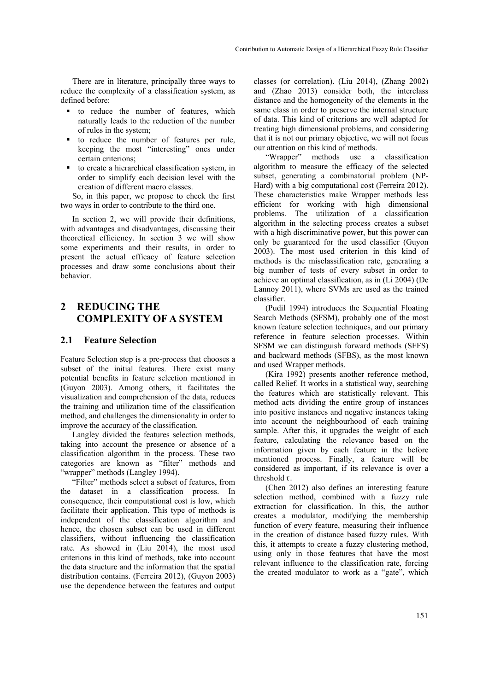There are in literature, principally three ways to reduce the complexity of a classification system, as defined before:

- to reduce the number of features, which naturally leads to the reduction of the number of rules in the system;
- to reduce the number of features per rule, keeping the most "interesting" ones under certain criterions;
- to create a hierarchical classification system, in order to simplify each decision level with the creation of different macro classes.

So, in this paper, we propose to check the first two ways in order to contribute to the third one.

In section 2, we will provide their definitions, with advantages and disadvantages, discussing their theoretical efficiency. In section 3 we will show some experiments and their results, in order to present the actual efficacy of feature selection processes and draw some conclusions about their behavior.

# **2 REDUCING THE COMPLEXITY OF A SYSTEM**

#### **2.1 Feature Selection**

Feature Selection step is a pre-process that chooses a subset of the initial features. There exist many potential benefits in feature selection mentioned in (Guyon 2003). Among others, it facilitates the visualization and comprehension of the data, reduces the training and utilization time of the classification method, and challenges the dimensionality in order to improve the accuracy of the classification.

Langley divided the features selection methods, taking into account the presence or absence of a classification algorithm in the process. These two categories are known as "filter" methods and "wrapper" methods (Langley 1994).

"Filter" methods select a subset of features, from the dataset in a classification process. In consequence, their computational cost is low, which facilitate their application. This type of methods is independent of the classification algorithm and hence, the chosen subset can be used in different classifiers, without influencing the classification rate. As showed in (Liu 2014), the most used criterions in this kind of methods, take into account the data structure and the information that the spatial distribution contains. (Ferreira 2012), (Guyon 2003) use the dependence between the features and output

classes (or correlation). (Liu 2014), (Zhang 2002) and (Zhao 2013) consider both, the interclass distance and the homogeneity of the elements in the same class in order to preserve the internal structure of data. This kind of criterions are well adapted for treating high dimensional problems, and considering that it is not our primary objective, we will not focus our attention on this kind of methods.

"Wrapper" methods use a classification algorithm to measure the efficacy of the selected subset, generating a combinatorial problem (NP-Hard) with a big computational cost (Ferreira 2012). These characteristics make Wrapper methods less efficient for working with high dimensional problems. The utilization of a classification algorithm in the selecting process creates a subset with a high discriminative power, but this power can only be guaranteed for the used classifier (Guyon 2003). The most used criterion in this kind of methods is the misclassification rate, generating a big number of tests of every subset in order to achieve an optimal classification, as in (Li 2004) (De Lannoy 2011), where SVMs are used as the trained classifier.

(Pudil 1994) introduces the Sequential Floating Search Methods (SFSM), probably one of the most known feature selection techniques, and our primary reference in feature selection processes. Within SFSM we can distinguish forward methods (SFFS) and backward methods (SFBS), as the most known and used Wrapper methods.

(Kira 1992) presents another reference method, called Relief. It works in a statistical way, searching the features which are statistically relevant. This method acts dividing the entire group of instances into positive instances and negative instances taking into account the neighbourhood of each training sample. After this, it upgrades the weight of each feature, calculating the relevance based on the information given by each feature in the before mentioned process. Finally, a feature will be considered as important, if its relevance is over a threshold  $\tau$ .

(Chen 2012) also defines an interesting feature selection method, combined with a fuzzy rule extraction for classification. In this, the author creates a modulator, modifying the membership function of every feature, measuring their influence in the creation of distance based fuzzy rules. With this, it attempts to create a fuzzy clustering method, using only in those features that have the most relevant influence to the classification rate, forcing the created modulator to work as a "gate", which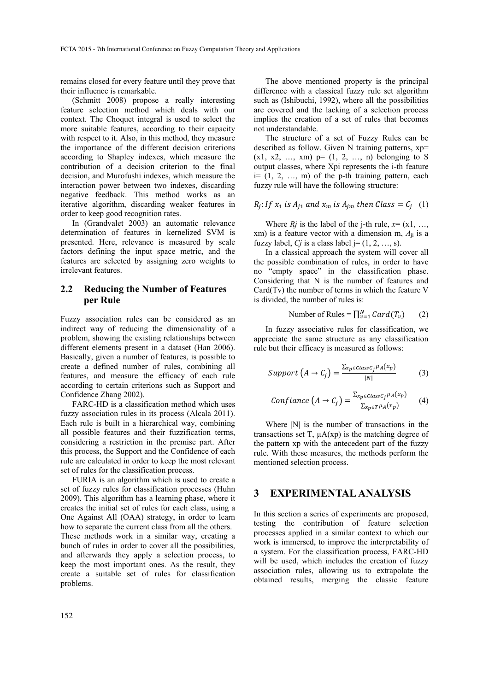remains closed for every feature until they prove that their influence is remarkable.

(Schmitt 2008) propose a really interesting feature selection method which deals with our context. The Choquet integral is used to select the more suitable features, according to their capacity with respect to it. Also, in this method, they measure the importance of the different decision criterions according to Shapley indexes, which measure the contribution of a decision criterion to the final decision, and Murofushi indexes, which measure the interaction power between two indexes, discarding negative feedback. This method works as an iterative algorithm, discarding weaker features in order to keep good recognition rates.

In (Grandvalet 2003) an automatic relevance determination of features in kernelized SVM is presented. Here, relevance is measured by scale factors defining the input space metric, and the features are selected by assigning zero weights to irrelevant features.

#### **2.2 Reducing the Number of Features per Rule**

Fuzzy association rules can be considered as an indirect way of reducing the dimensionality of a problem, showing the existing relationships between different elements present in a dataset (Han 2006). Basically, given a number of features, is possible to create a defined number of rules, combining all features, and measure the efficacy of each rule according to certain criterions such as Support and Confidence Zhang 2002).

FARC-HD is a classification method which uses fuzzy association rules in its process (Alcala 2011). Each rule is built in a hierarchical way, combining all possible features and their fuzzification terms, considering a restriction in the premise part. After this process, the Support and the Confidence of each rule are calculated in order to keep the most relevant set of rules for the classification process.

FURIA is an algorithm which is used to create a set of fuzzy rules for classification processes (Huhn 2009). This algorithm has a learning phase, where it creates the initial set of rules for each class, using a One Against All (OAA) strategy, in order to learn how to separate the current class from all the others. These methods work in a similar way, creating a bunch of rules in order to cover all the possibilities, and afterwards they apply a selection process, to keep the most important ones. As the result, they create a suitable set of rules for classification problems.

The above mentioned property is the principal difference with a classical fuzzy rule set algorithm such as (Ishibuchi, 1992), where all the possibilities are covered and the lacking of a selection process implies the creation of a set of rules that becomes not understandable.

The structure of a set of Fuzzy Rules can be described as follow. Given N training patterns, xp=  $(x1, x2, ..., xm)$  p=  $(1, 2, ..., n)$  belonging to S output classes, where Xpi represents the i-th feature  $i=[1, 2, ..., m]$  of the p-th training pattern, each fuzzy rule will have the following structure:

$$
R_j
$$
: If  $x_1$  is  $A_{j1}$  and  $x_m$  is  $A_{jm}$  then Class =  $C_j$  (1)

Where  $Rj$  is the label of the j-th rule,  $x = (x1, \ldots, x)$ xm) is a feature vector with a dimension m, *A*ji is a fuzzy label, *Cj* is a class label j=  $(1, 2, ..., s)$ .

In a classical approach the system will cover all the possible combination of rules, in order to have no "empty space" in the classification phase. Considering that N is the number of features and Card(Tv) the number of terms in which the feature V is divided, the number of rules is:

Number of Rules =  $\prod_{v=1}^{N} Card(T_v)$  (2)

In fuzzy associative rules for classification, we appreciate the same structure as any classification rule but their efficacy is measured as follows:

$$
Support\left(A \to C_j\right) = \frac{\sum_{xp \in ClassC_j} \mu_A(x_p)}{|N|} \tag{3}
$$

$$
Confiance\left(A \to C_j\right) = \frac{\sum_{x_p \in ClassC_j} \mu_A(x_p)}{\sum_{x_p \in T} \mu_A(x_p)}\tag{4}
$$

Where  $|N|$  is the number of transactions in the transactions set T,  $\mu A(xp)$  is the matching degree of the pattern xp with the antecedent part of the fuzzy rule. With these measures, the methods perform the mentioned selection process.

#### **3 EXPERIMENTAL ANALYSIS**

In this section a series of experiments are proposed, testing the contribution of feature selection processes applied in a similar context to which our work is immersed, to improve the interpretability of a system. For the classification process, FARC-HD will be used, which includes the creation of fuzzy association rules, allowing us to extrapolate the obtained results, merging the classic feature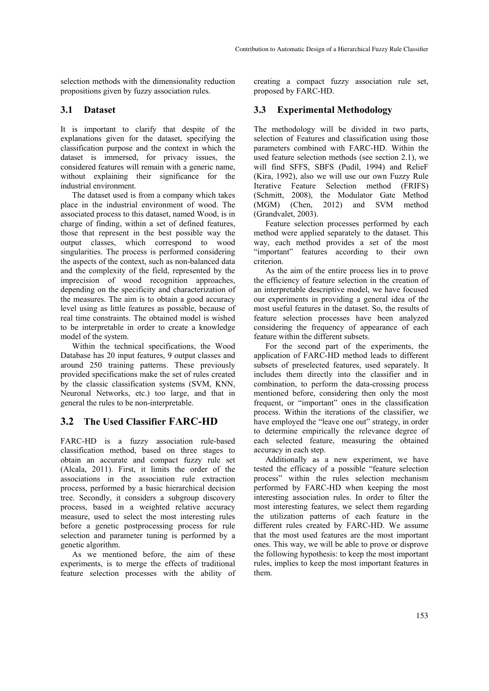selection methods with the dimensionality reduction propositions given by fuzzy association rules.

### **3.1 Dataset**

It is important to clarify that despite of the explanations given for the dataset, specifying the classification purpose and the context in which the dataset is immersed, for privacy issues, the considered features will remain with a generic name, without explaining their significance for the industrial environment.

The dataset used is from a company which takes place in the industrial environment of wood. The associated process to this dataset, named Wood, is in charge of finding, within a set of defined features, those that represent in the best possible way the output classes, which correspond to wood singularities. The process is performed considering the aspects of the context, such as non-balanced data and the complexity of the field, represented by the imprecision of wood recognition approaches, depending on the specificity and characterization of the measures. The aim is to obtain a good accuracy level using as little features as possible, because of real time constraints. The obtained model is wished to be interpretable in order to create a knowledge model of the system.

Within the technical specifications, the Wood Database has 20 input features, 9 output classes and around 250 training patterns. These previously provided specifications make the set of rules created by the classic classification systems (SVM, KNN, Neuronal Networks, etc.) too large, and that in general the rules to be non-interpretable.

# **3.2 The Used Classifier FARC-HD**

FARC-HD is a fuzzy association rule-based classification method, based on three stages to obtain an accurate and compact fuzzy rule set (Alcala, 2011). First, it limits the order of the associations in the association rule extraction process, performed by a basic hierarchical decision tree. Secondly, it considers a subgroup discovery process, based in a weighted relative accuracy measure, used to select the most interesting rules before a genetic postprocessing process for rule selection and parameter tuning is performed by a genetic algorithm.

As we mentioned before, the aim of these experiments, is to merge the effects of traditional feature selection processes with the ability of creating a compact fuzzy association rule set, proposed by FARC-HD.

# **3.3 Experimental Methodology**

The methodology will be divided in two parts, selection of Features and classification using those parameters combined with FARC-HD. Within the used feature selection methods (see section 2.1), we will find SFFS, SBFS (Pudil, 1994) and RelieF (Kira, 1992), also we will use our own Fuzzy Rule Iterative Feature Selection method (FRIFS) (Schmitt, 2008), the Modulator Gate Method (MGM) (Chen, 2012) and SVM method (Grandvalet, 2003).

Feature selection processes performed by each method were applied separately to the dataset. This way, each method provides a set of the most "important" features according to their own criterion.

As the aim of the entire process lies in to prove the efficiency of feature selection in the creation of an interpretable descriptive model, we have focused our experiments in providing a general idea of the most useful features in the dataset. So, the results of feature selection processes have been analyzed considering the frequency of appearance of each feature within the different subsets.

For the second part of the experiments, the application of FARC-HD method leads to different subsets of preselected features, used separately. It includes them directly into the classifier and in combination, to perform the data-crossing process mentioned before, considering then only the most frequent, or "important" ones in the classification process. Within the iterations of the classifier, we have employed the "leave one out" strategy, in order to determine empirically the relevance degree of each selected feature, measuring the obtained accuracy in each step.

Additionally as a new experiment, we have tested the efficacy of a possible "feature selection process" within the rules selection mechanism performed by FARC-HD when keeping the most interesting association rules. In order to filter the most interesting features, we select them regarding the utilization patterns of each feature in the different rules created by FARC-HD. We assume that the most used features are the most important ones. This way, we will be able to prove or disprove the following hypothesis: to keep the most important rules, implies to keep the most important features in them.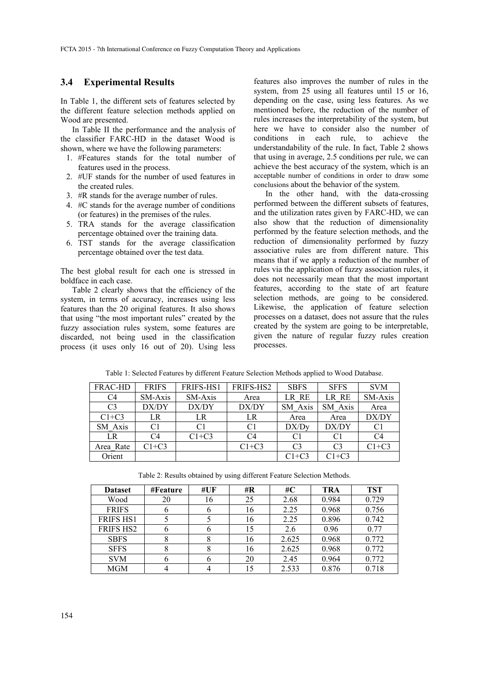#### **3.4 Experimental Results**

In Table 1, the different sets of features selected by the different feature selection methods applied on Wood are presented.

In Table II the performance and the analysis of the classifier FARC-HD in the dataset Wood is shown, where we have the following parameters:

- 1. #Features stands for the total number of features used in the process.
- 2. #UF stands for the number of used features in the created rules.
- 3. #R stands for the average number of rules.
- 4. #C stands for the average number of conditions (or features) in the premises of the rules.
- 5. TRA stands for the average classification percentage obtained over the training data.
- 6. TST stands for the average classification percentage obtained over the test data.

The best global result for each one is stressed in boldface in each case.

Table 2 clearly shows that the efficiency of the system, in terms of accuracy, increases using less features than the 20 original features. It also shows that using "the most important rules" created by the fuzzy association rules system, some features are discarded, not being used in the classification process (it uses only 16 out of 20). Using less

features also improves the number of rules in the system, from 25 using all features until 15 or 16, depending on the case, using less features. As we mentioned before, the reduction of the number of rules increases the interpretability of the system, but here we have to consider also the number of conditions in each rule, to achieve the understandability of the rule. In fact, Table 2 shows that using in average, 2.5 conditions per rule, we can achieve the best accuracy of the system, which is an acceptable number of conditions in order to draw some conclusions about the behavior of the system.

In the other hand, with the data-crossing performed between the different subsets of features, and the utilization rates given by FARC-HD, we can also show that the reduction of dimensionality performed by the feature selection methods, and the reduction of dimensionality performed by fuzzy associative rules are from different nature. This means that if we apply a reduction of the number of rules via the application of fuzzy association rules, it does not necessarily mean that the most important features, according to the state of art feature selection methods, are going to be considered. Likewise, the application of feature selection processes on a dataset, does not assure that the rules created by the system are going to be interpretable, given the nature of regular fuzzy rules creation processes.

| <b>FRAC-HD</b> | <b>FRIFS</b> | FRIFS-HS1 | FRIFS-HS2      | <b>SBFS</b>    | <b>SFFS</b>    | <b>SVM</b>     |
|----------------|--------------|-----------|----------------|----------------|----------------|----------------|
| C <sub>4</sub> | SM-Axis      | SM-Axis   | Area           | LR RE          | LR RE          | SM-Axis        |
| C <sub>3</sub> | DX/DY        | DX/DY     | DX/DY          | SM Axis        | SM Axis        | Area           |
| $C1+C3$        | LR           | LR        | LR             | Area           | Area           | DX/DY          |
| SM Axis        | C1           | C1        | C <sub>1</sub> | DX/Dy          | DX/DY          | C <sub>1</sub> |
| LR             | C4           | $C1+C3$   | C4             | C1             | C <sub>1</sub> | C4             |
| Area Rate      | $C1+C3$      |           | $C1+C3$        | C <sub>3</sub> | C <sub>3</sub> | $C1+C3$        |
| Orient         |              |           |                | $C1+C3$        | $C1+C3$        |                |

Table 1: Selected Features by different Feature Selection Methods applied to Wood Database.

Table 2: Results obtained by using different Feature Selection Methods.

| <b>Dataset</b>   | #Feature | #UF | # $\bf{R}$ | # $\bf C$ | <b>TRA</b> | <b>TST</b> |
|------------------|----------|-----|------------|-----------|------------|------------|
| Wood             | 20       | 16  | 25         | 2.68      | 0.984      | 0.729      |
| <b>FRIFS</b>     | O        |     | 16         | 2.25      | 0.968      | 0.756      |
| <b>FRIFS HS1</b> |          |     | 16         | 2.25      | 0.896      | 0.742      |
| <b>FRIFS HS2</b> | O        |     | 15         | 2.6       | 0.96       | 0.77       |
| <b>SBFS</b>      | 8        |     | 16         | 2.625     | 0.968      | 0.772      |
| <b>SFFS</b>      |          |     | 16         | 2.625     | 0.968      | 0.772      |
| <b>SVM</b>       | b        |     | 20         | 2.45      | 0.964      | 0.772      |
| <b>MGM</b>       |          |     |            | 2.533     | 0.876      | 0.718      |